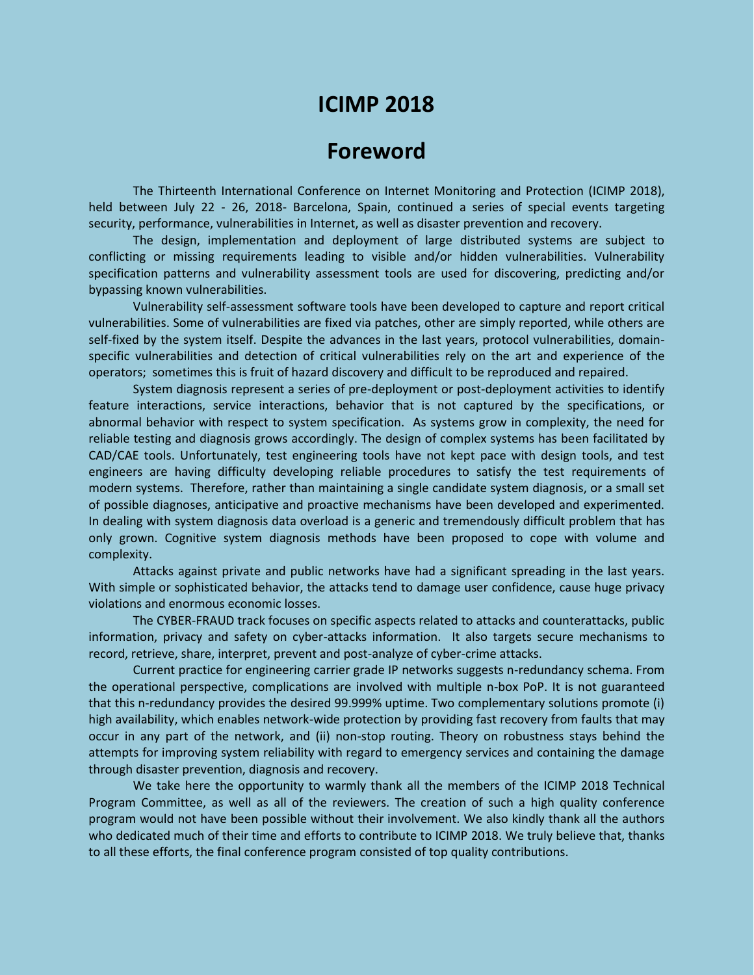# **ICIMP 2018**

## **Foreword**

The Thirteenth International Conference on Internet Monitoring and Protection (ICIMP 2018), held between July 22 - 26, 2018- Barcelona, Spain, continued a series of special events targeting security, performance, vulnerabilities in Internet, as well as disaster prevention and recovery.

The design, implementation and deployment of large distributed systems are subject to conflicting or missing requirements leading to visible and/or hidden vulnerabilities. Vulnerability specification patterns and vulnerability assessment tools are used for discovering, predicting and/or bypassing known vulnerabilities.

Vulnerability self-assessment software tools have been developed to capture and report critical vulnerabilities. Some of vulnerabilities are fixed via patches, other are simply reported, while others are self-fixed by the system itself. Despite the advances in the last years, protocol vulnerabilities, domainspecific vulnerabilities and detection of critical vulnerabilities rely on the art and experience of the operators; sometimes this is fruit of hazard discovery and difficult to be reproduced and repaired.

System diagnosis represent a series of pre-deployment or post-deployment activities to identify feature interactions, service interactions, behavior that is not captured by the specifications, or abnormal behavior with respect to system specification. As systems grow in complexity, the need for reliable testing and diagnosis grows accordingly. The design of complex systems has been facilitated by CAD/CAE tools. Unfortunately, test engineering tools have not kept pace with design tools, and test engineers are having difficulty developing reliable procedures to satisfy the test requirements of modern systems. Therefore, rather than maintaining a single candidate system diagnosis, or a small set of possible diagnoses, anticipative and proactive mechanisms have been developed and experimented. In dealing with system diagnosis data overload is a generic and tremendously difficult problem that has only grown. Cognitive system diagnosis methods have been proposed to cope with volume and complexity.

Attacks against private and public networks have had a significant spreading in the last years. With simple or sophisticated behavior, the attacks tend to damage user confidence, cause huge privacy violations and enormous economic losses.

The CYBER-FRAUD track focuses on specific aspects related to attacks and counterattacks, public information, privacy and safety on cyber-attacks information. It also targets secure mechanisms to record, retrieve, share, interpret, prevent and post-analyze of cyber-crime attacks.

Current practice for engineering carrier grade IP networks suggests n-redundancy schema. From the operational perspective, complications are involved with multiple n-box PoP. It is not guaranteed that this n-redundancy provides the desired 99.999% uptime. Two complementary solutions promote (i) high availability, which enables network-wide protection by providing fast recovery from faults that may occur in any part of the network, and (ii) non-stop routing. Theory on robustness stays behind the attempts for improving system reliability with regard to emergency services and containing the damage through disaster prevention, diagnosis and recovery.

We take here the opportunity to warmly thank all the members of the ICIMP 2018 Technical Program Committee, as well as all of the reviewers. The creation of such a high quality conference program would not have been possible without their involvement. We also kindly thank all the authors who dedicated much of their time and efforts to contribute to ICIMP 2018. We truly believe that, thanks to all these efforts, the final conference program consisted of top quality contributions.